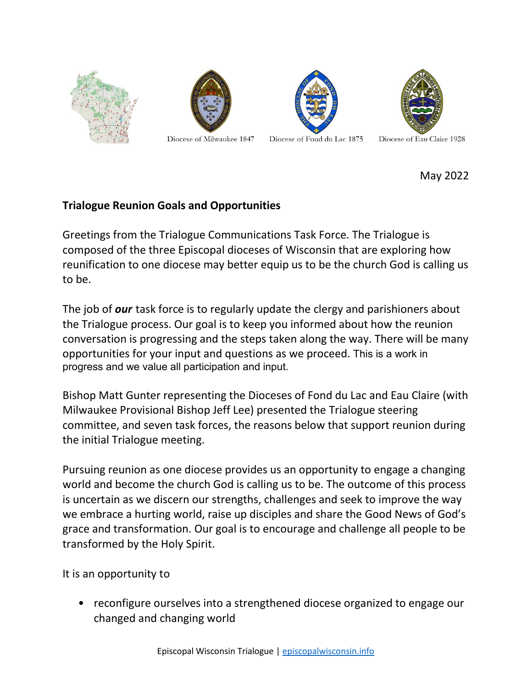







Diocese of Milwaukee 1847

Diocese of Fond du Lac 1875

May 2022

## **Trialogue Reunion Goals and Opportunities**

Greetings from the Trialogue Communications Task Force. The Trialogue is composed of the three Episcopal dioceses of Wisconsin that are exploring how reunification to one diocese may better equip us to be the church God is calling us to be.

The job of *our* task force is to regularly update the clergy and parishioners about the Trialogue process. Our goal is to keep you informed about how the reunion conversation is progressing and the steps taken along the way. There will be many opportunities for your input and questions as we proceed. This is a work in progress and we value all participation and input.

Bishop Matt Gunter representing the Dioceses of Fond du Lac and Eau Claire (with Milwaukee Provisional Bishop Jeff Lee) presented the Trialogue steering committee, and seven task forces, the reasons below that support reunion during the initial Trialogue meeting.

Pursuing reunion as one diocese provides us an opportunity to engage a changing world and become the church God is calling us to be. The outcome of this process is uncertain as we discern our strengths, challenges and seek to improve the way we embrace a hurting world, raise up disciples and share the Good News of God's grace and transformation. Our goal is to encourage and challenge all people to be transformed by the Holy Spirit.

It is an opportunity to

• reconfigure ourselves into a strengthened diocese organized to engage our changed and changing world